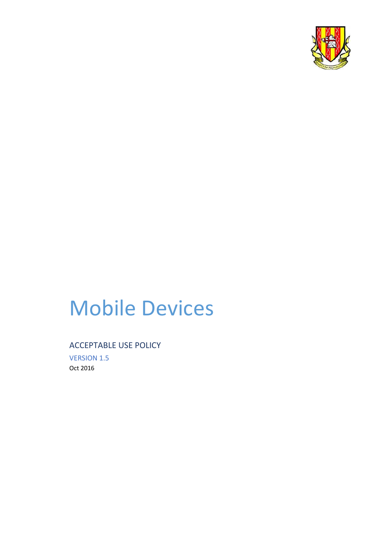

# Mobile Devices

#### ACCEPTABLE USE POLICY

VERSION 1.5 Oct 2016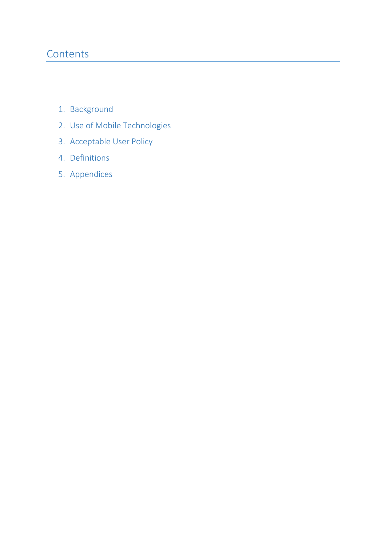## **Contents**

- 1. Background
- 2. Use of Mobile Technologies
- 3. Acceptable User Policy
- 4. Definitions
- 5. Appendices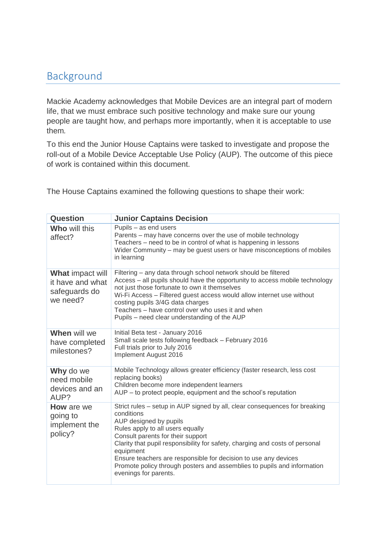## Background

Mackie Academy acknowledges that Mobile Devices are an integral part of modern life, that we must embrace such positive technology and make sure our young people are taught how, and perhaps more importantly, when it is acceptable to use them*.*

To this end the Junior House Captains were tasked to investigate and propose the roll-out of a Mobile Device Acceptable Use Policy (AUP). The outcome of this piece of work is contained within this document.

The House Captains examined the following questions to shape their work:

| <b>Question</b>                                                          | <b>Junior Captains Decision</b>                                                                                                                                                                                                                                                                                                                                                                                                                                 |  |
|--------------------------------------------------------------------------|-----------------------------------------------------------------------------------------------------------------------------------------------------------------------------------------------------------------------------------------------------------------------------------------------------------------------------------------------------------------------------------------------------------------------------------------------------------------|--|
| <b>Who will this</b><br>affect?                                          | Pupils - as end users<br>Parents – may have concerns over the use of mobile technology<br>Teachers - need to be in control of what is happening in lessons<br>Wider Community – may be guest users or have misconceptions of mobiles<br>in learning                                                                                                                                                                                                             |  |
| <b>What impact will</b><br>it have and what<br>safeguards do<br>we need? | Filtering - any data through school network should be filtered<br>Access - all pupils should have the opportunity to access mobile technology<br>not just those fortunate to own it themselves<br>Wi-Fi Access - Filtered guest access would allow internet use without<br>costing pupils 3/4G data charges<br>Teachers - have control over who uses it and when<br>Pupils – need clear understanding of the AUP                                                |  |
| When will we<br>have completed<br>milestones?                            | Initial Beta test - January 2016<br>Small scale tests following feedback - February 2016<br>Full trials prior to July 2016<br>Implement August 2016                                                                                                                                                                                                                                                                                                             |  |
| Why do we<br>need mobile<br>devices and an<br>AUP?                       | Mobile Technology allows greater efficiency (faster research, less cost<br>replacing books)<br>Children become more independent learners<br>AUP – to protect people, equipment and the school's reputation                                                                                                                                                                                                                                                      |  |
| <b>How</b> are we<br>going to<br>implement the<br>policy?                | Strict rules – setup in AUP signed by all, clear consequences for breaking<br>conditions<br>AUP designed by pupils<br>Rules apply to all users equally<br>Consult parents for their support<br>Clarity that pupil responsibility for safety, charging and costs of personal<br>equipment<br>Ensure teachers are responsible for decision to use any devices<br>Promote policy through posters and assemblies to pupils and information<br>evenings for parents. |  |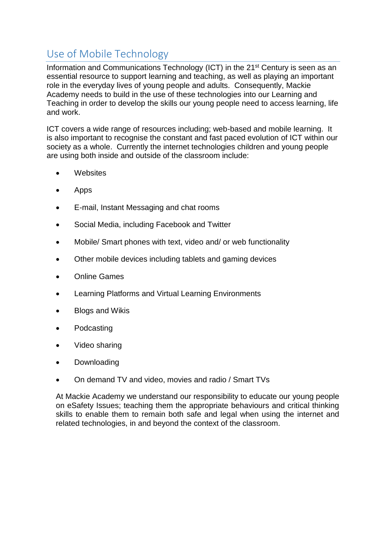# Use of Mobile Technology

Information and Communications Technology (ICT) in the 21st Century is seen as an essential resource to support learning and teaching, as well as playing an important role in the everyday lives of young people and adults. Consequently, Mackie Academy needs to build in the use of these technologies into our Learning and Teaching in order to develop the skills our young people need to access learning, life and work.

ICT covers a wide range of resources including; web-based and mobile learning. It is also important to recognise the constant and fast paced evolution of ICT within our society as a whole. Currently the internet technologies children and young people are using both inside and outside of the classroom include:

- **Websites**
- Apps
- E-mail, Instant Messaging and chat rooms
- Social Media, including Facebook and Twitter
- Mobile/ Smart phones with text, video and/ or web functionality
- Other mobile devices including tablets and gaming devices
- Online Games
- Learning Platforms and Virtual Learning Environments
- Blogs and Wikis
- Podcasting
- Video sharing
- Downloading
- On demand TV and video, movies and radio / Smart TVs

At Mackie Academy we understand our responsibility to educate our young people on eSafety Issues; teaching them the appropriate behaviours and critical thinking skills to enable them to remain both safe and legal when using the internet and related technologies, in and beyond the context of the classroom.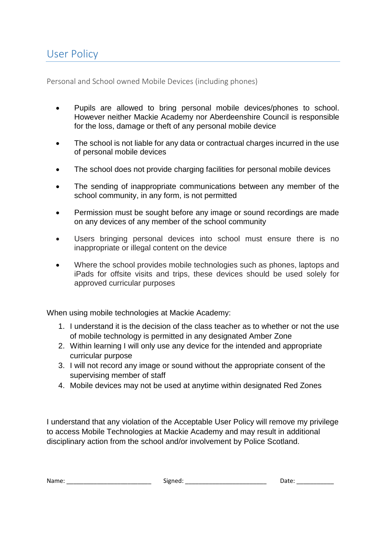Personal and School owned Mobile Devices (including phones)

- Pupils are allowed to bring personal mobile devices/phones to school. However neither Mackie Academy nor Aberdeenshire Council is responsible for the loss, damage or theft of any personal mobile device
- The school is not liable for any data or contractual charges incurred in the use of personal mobile devices
- The school does not provide charging facilities for personal mobile devices
- The sending of inappropriate communications between any member of the school community, in any form, is not permitted
- Permission must be sought before any image or sound recordings are made on any devices of any member of the school community
- Users bringing personal devices into school must ensure there is no inappropriate or illegal content on the device
- Where the school provides mobile technologies such as phones, laptops and iPads for offsite visits and trips, these devices should be used solely for approved curricular purposes

When using mobile technologies at Mackie Academy:

- 1. I understand it is the decision of the class teacher as to whether or not the use of mobile technology is permitted in any designated Amber Zone
- 2. Within learning I will only use any device for the intended and appropriate curricular purpose
- 3. I will not record any image or sound without the appropriate consent of the supervising member of staff
- 4. Mobile devices may not be used at anytime within designated Red Zones

I understand that any violation of the Acceptable User Policy will remove my privilege to access Mobile Technologies at Mackie Academy and may result in additional disciplinary action from the school and/or involvement by Police Scotland.

| Name | $\sim$ | $H_{\rm H}$<br>___ |
|------|--------|--------------------|
|------|--------|--------------------|